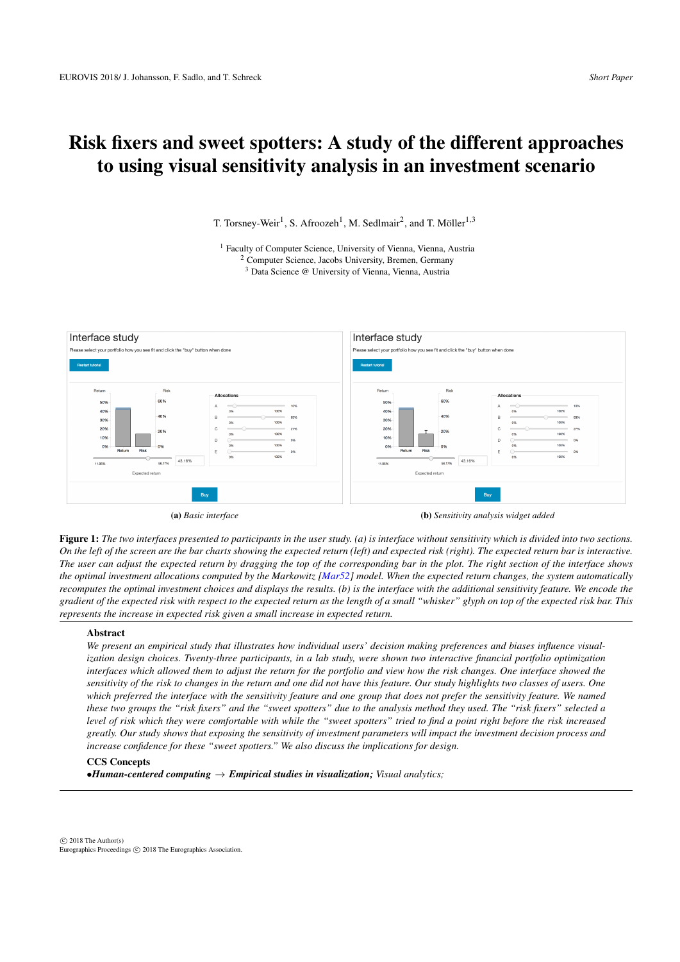<span id="page-0-1"></span>T. Torsney-Weir<sup>1</sup>, S. Afroozeh<sup>1</sup>, M. Sedlmair<sup>2</sup>, and T. Möller<sup>1,3</sup>

<sup>1</sup> Faculty of Computer Science, University of Vienna, Vienna, Austria <sup>2</sup> Computer Science, Jacobs University, Bremen, Germany <sup>3</sup> Data Science @ University of Vienna, Vienna, Austria



<span id="page-0-0"></span>Figure 1: *The two interfaces presented to participants in the user study. (a) is interface without sensitivity which is divided into two sections. On the left of the screen are the bar charts showing the expected return (left) and expected risk (right). The expected return bar is interactive. The user can adjust the expected return by dragging the top of the corresponding bar in the plot. The right section of the interface shows the optimal investment allocations computed by the Markowitz [\[Mar52\]](#page-4-0) model. When the expected return changes, the system automatically recomputes the optimal investment choices and displays the results. (b) is the interface with the additional sensitivity feature. We encode the gradient of the expected risk with respect to the expected return as the length of a small "whisker" glyph on top of the expected risk bar. This represents the increase in expected risk given a small increase in expected return.*

### Abstract

*We present an empirical study that illustrates how individual users' decision making preferences and biases influence visualization design choices. Twenty-three participants, in a lab study, were shown two interactive financial portfolio optimization interfaces which allowed them to adjust the return for the portfolio and view how the risk changes. One interface showed the sensitivity of the risk to changes in the return and one did not have this feature. Our study highlights two classes of users. One which preferred the interface with the sensitivity feature and one group that does not prefer the sensitivity feature. We named these two groups the "risk fixers" and the "sweet spotters" due to the analysis method they used. The "risk fixers" selected a level of risk which they were comfortable with while the "sweet spotters" tried to find a point right before the risk increased greatly. Our study shows that exposing the sensitivity of investment parameters will impact the investment decision process and increase confidence for these "sweet spotters." We also discuss the implications for design.*

# CCS Concepts

 $\bullet$ *Human-centered computing*  $\rightarrow$  *Empirical studies in visualization; Visual analytics;*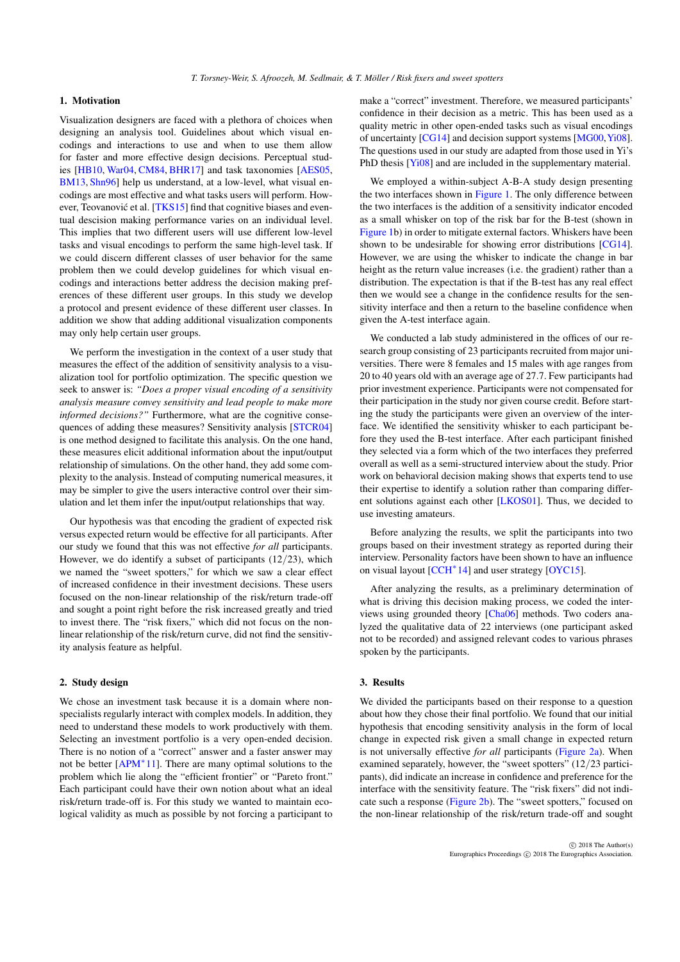## <span id="page-1-0"></span>1. Motivation

Visualization designers are faced with a plethora of choices when designing an analysis tool. Guidelines about which visual encodings and interactions to use and when to use them allow for faster and more effective design decisions. Perceptual studies [\[HB10,](#page-4-1) [War04,](#page-4-2) [CM84,](#page-4-3) [BHR17\]](#page-4-4) and task taxonomies [\[AES05,](#page-4-5) [BM13,](#page-4-6) [Shn96\]](#page-4-7) help us understand, at a low-level, what visual encodings are most effective and what tasks users will perform. How-ever, Teovanović et al. [[TKS15\]](#page-4-8) find that cognitive biases and eventual descision making performance varies on an individual level. This implies that two different users will use different low-level tasks and visual encodings to perform the same high-level task. If we could discern different classes of user behavior for the same problem then we could develop guidelines for which visual encodings and interactions better address the decision making preferences of these different user groups. In this study we develop a protocol and present evidence of these different user classes. In addition we show that adding additional visualization components may only help certain user groups.

We perform the investigation in the context of a user study that measures the effect of the addition of sensitivity analysis to a visualization tool for portfolio optimization. The specific question we seek to answer is: *"Does a proper visual encoding of a sensitivity analysis measure convey sensitivity and lead people to make more informed decisions?"* Furthermore, what are the cognitive consequences of adding these measures? Sensitivity analysis [\[STCR04\]](#page-4-9) is one method designed to facilitate this analysis. On the one hand, these measures elicit additional information about the input/output relationship of simulations. On the other hand, they add some complexity to the analysis. Instead of computing numerical measures, it may be simpler to give the users interactive control over their simulation and let them infer the input/output relationships that way.

Our hypothesis was that encoding the gradient of expected risk versus expected return would be effective for all participants. After our study we found that this was not effective *for all* participants. However, we do identify a subset of participants  $(12/23)$ , which we named the "sweet spotters," for which we saw a clear effect of increased confidence in their investment decisions. These users focused on the non-linear relationship of the risk/return trade-off and sought a point right before the risk increased greatly and tried to invest there. The "risk fixers," which did not focus on the nonlinear relationship of the risk/return curve, did not find the sensitivity analysis feature as helpful.

### 2. Study design

We chose an investment task because it is a domain where nonspecialists regularly interact with complex models. In addition, they need to understand these models to work productively with them. Selecting an investment portfolio is a very open-ended decision. There is no notion of a "correct" answer and a faster answer may not be better [\[APM](#page-4-10)<sup>∗</sup>11]. There are many optimal solutions to the problem which lie along the "efficient frontier" or "Pareto front." Each participant could have their own notion about what an ideal risk/return trade-off is. For this study we wanted to maintain ecological validity as much as possible by not forcing a participant to

make a "correct" investment. Therefore, we measured participants' confidence in their decision as a metric. This has been used as a quality metric in other open-ended tasks such as visual encodings of uncertainty [\[CG14\]](#page-4-11) and decision support systems [\[MG00,](#page-4-12)[Yi08\]](#page-4-13). The questions used in our study are adapted from those used in Yi's PhD thesis [\[Yi08\]](#page-4-13) and are included in the supplementary material.

We employed a within-subject A-B-A study design presenting the two interfaces shown in [Figure 1.](#page-0-0) The only difference between the two interfaces is the addition of a sensitivity indicator encoded as a small whisker on top of the risk bar for the B-test (shown in [Figure 1b](#page-0-0)) in order to mitigate external factors. Whiskers have been shown to be undesirable for showing error distributions [\[CG14\]](#page-4-11). However, we are using the whisker to indicate the change in bar height as the return value increases (i.e. the gradient) rather than a distribution. The expectation is that if the B-test has any real effect then we would see a change in the confidence results for the sensitivity interface and then a return to the baseline confidence when given the A-test interface again.

We conducted a lab study administered in the offices of our research group consisting of 23 participants recruited from major universities. There were 8 females and 15 males with age ranges from 20 to 40 years old with an average age of 27.7. Few participants had prior investment experience. Participants were not compensated for their participation in the study nor given course credit. Before starting the study the participants were given an overview of the interface. We identified the sensitivity whisker to each participant before they used the B-test interface. After each participant finished they selected via a form which of the two interfaces they preferred overall as well as a semi-structured interview about the study. Prior work on behavioral decision making shows that experts tend to use their expertise to identify a solution rather than comparing different solutions against each other [\[LKOS01\]](#page-4-14). Thus, we decided to use investing amateurs.

Before analyzing the results, we split the participants into two groups based on their investment strategy as reported during their interview. Personality factors have been shown to have an influence on visual layout [\[CCH](#page-4-15)<sup>\*</sup>14] and user strategy [\[OYC15\]](#page-4-16).

After analyzing the results, as a preliminary determination of what is driving this decision making process, we coded the interviews using grounded theory [\[Cha06\]](#page-4-17) methods. Two coders analyzed the qualitative data of 22 interviews (one participant asked not to be recorded) and assigned relevant codes to various phrases spoken by the participants.

## 3. Results

We divided the participants based on their response to a question about how they chose their final portfolio. We found that our initial hypothesis that encoding sensitivity analysis in the form of local change in expected risk given a small change in expected return is not universally effective *for all* participants [\(Figure 2a\)](#page-2-0). When examined separately, however, the "sweet spotters" (12/23 participants), did indicate an increase in confidence and preference for the interface with the sensitivity feature. The "risk fixers" did not indicate such a response [\(Figure 2b\)](#page-2-0). The "sweet spotters," focused on the non-linear relationship of the risk/return trade-off and sought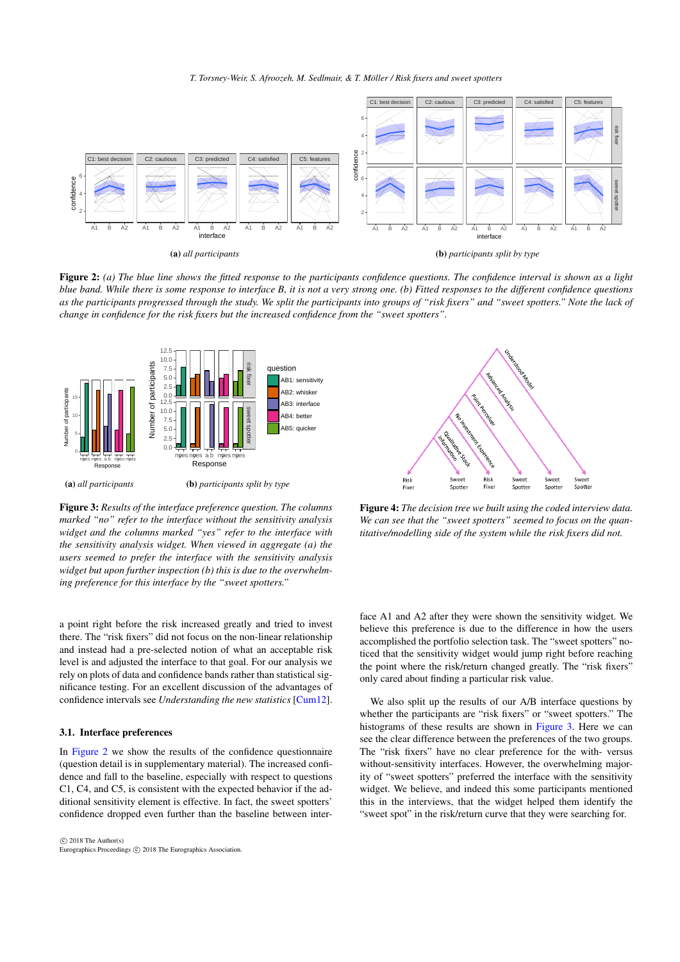*T. Torsney-Weir, S. Afroozeh, M. Sedlmair, & T. Möller / Risk fixers and sweet spotters*

<span id="page-2-3"></span><span id="page-2-0"></span>

Figure 2: *(a) The blue line shows the fitted response to the participants confidence questions. The confidence interval is shown as a light blue band. While there is some response to interface B, it is not a very strong one. (b) Fitted responses to the different confidence questions as the participants progressed through the study. We split the participants into groups of "risk fixers" and "sweet spotters." Note the lack of change in confidence for the risk fixers but the increased confidence from the "sweet spotters".*

<span id="page-2-1"></span>

Figure 3: *Results of the interface preference question. The columns marked "no" refer to the interface without the sensitivity analysis widget and the columns marked "yes" refer to the interface with the sensitivity analysis widget. When viewed in aggregate (a) the users seemed to prefer the interface with the sensitivity analysis widget but upon further inspection (b) this is due to the overwhelming preference for this interface by the "sweet spotters."*

a point right before the risk increased greatly and tried to invest there. The "risk fixers" did not focus on the non-linear relationship and instead had a pre-selected notion of what an acceptable risk level is and adjusted the interface to that goal. For our analysis we rely on plots of data and confidence bands rather than statistical significance testing. For an excellent discussion of the advantages of confidence intervals see *Understanding the new statistics* [\[Cum12\]](#page-4-18).

### 3.1. Interface preferences

In [Figure 2](#page-2-0) we show the results of the confidence questionnaire (question detail is in supplementary material). The increased confidence and fall to the baseline, especially with respect to questions C1, C4, and C5, is consistent with the expected behavior if the additional sensitivity element is effective. In fact, the sweet spotters' confidence dropped even further than the baseline between inter-



<span id="page-2-2"></span>

Figure 4: *The decision tree we built using the coded interview data. We can see that the "sweet spotters" seemed to focus on the quantitative/modelling side of the system while the risk fixers did not.*

face A1 and A2 after they were shown the sensitivity widget. We believe this preference is due to the difference in how the users accomplished the portfolio selection task. The "sweet spotters" noticed that the sensitivity widget would jump right before reaching the point where the risk/return changed greatly. The "risk fixers" only cared about finding a particular risk value.

We also split up the results of our A/B interface questions by whether the participants are "risk fixers" or "sweet spotters." The histograms of these results are shown in [Figure 3.](#page-2-1) Here we can see the clear difference between the preferences of the two groups. The "risk fixers" have no clear preference for the with- versus without-sensitivity interfaces. However, the overwhelming majority of "sweet spotters" preferred the interface with the sensitivity widget. We believe, and indeed this some participants mentioned this in the interviews, that the widget helped them identify the "sweet spot" in the risk/return curve that they were searching for.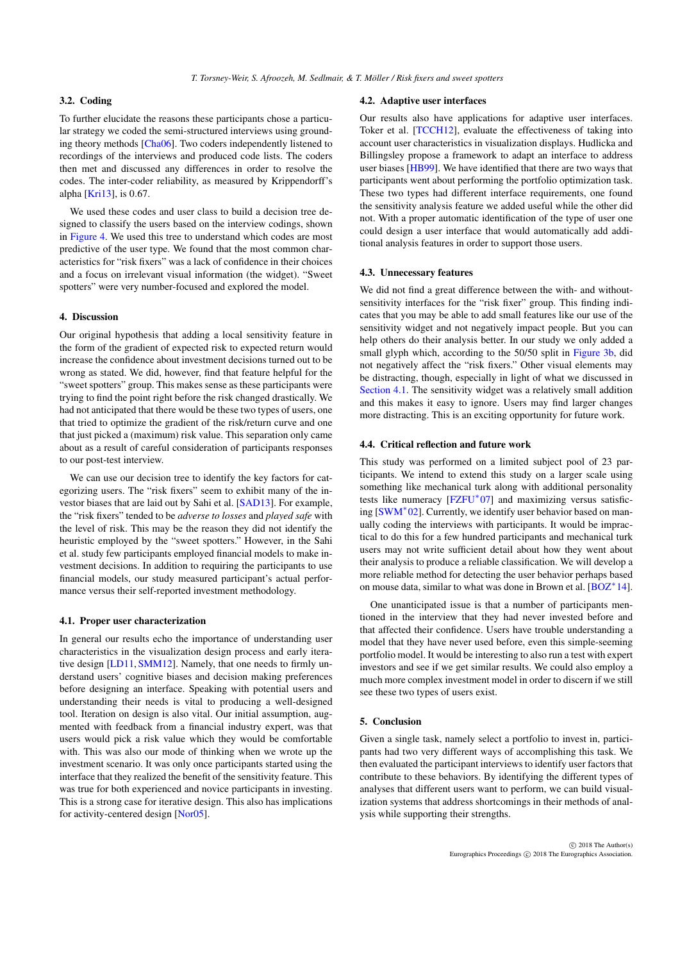# <span id="page-3-1"></span>3.2. Coding

To further elucidate the reasons these participants chose a particular strategy we coded the semi-structured interviews using grounding theory methods [\[Cha06\]](#page-4-17). Two coders independently listened to recordings of the interviews and produced code lists. The coders then met and discussed any differences in order to resolve the codes. The inter-coder reliability, as measured by Krippendorff's alpha [\[Kri13\]](#page-4-19), is 0.67.

We used these codes and user class to build a decision tree designed to classify the users based on the interview codings, shown in [Figure 4.](#page-2-2) We used this tree to understand which codes are most predictive of the user type. We found that the most common characteristics for "risk fixers" was a lack of confidence in their choices and a focus on irrelevant visual information (the widget). "Sweet spotters" were very number-focused and explored the model.

## 4. Discussion

Our original hypothesis that adding a local sensitivity feature in the form of the gradient of expected risk to expected return would increase the confidence about investment decisions turned out to be wrong as stated. We did, however, find that feature helpful for the "sweet spotters" group. This makes sense as these participants were trying to find the point right before the risk changed drastically. We had not anticipated that there would be these two types of users, one that tried to optimize the gradient of the risk/return curve and one that just picked a (maximum) risk value. This separation only came about as a result of careful consideration of participants responses to our post-test interview.

We can use our decision tree to identify the key factors for categorizing users. The "risk fixers" seem to exhibit many of the investor biases that are laid out by Sahi et al. [\[SAD13\]](#page-4-20). For example, the "risk fixers" tended to be *adverse to losses* and *played safe* with the level of risk. This may be the reason they did not identify the heuristic employed by the "sweet spotters." However, in the Sahi et al. study few participants employed financial models to make investment decisions. In addition to requiring the participants to use financial models, our study measured participant's actual performance versus their self-reported investment methodology.

#### <span id="page-3-0"></span>4.1. Proper user characterization

In general our results echo the importance of understanding user characteristics in the visualization design process and early iterative design [\[LD11,](#page-4-21) [SMM12\]](#page-4-22). Namely, that one needs to firmly understand users' cognitive biases and decision making preferences before designing an interface. Speaking with potential users and understanding their needs is vital to producing a well-designed tool. Iteration on design is also vital. Our initial assumption, augmented with feedback from a financial industry expert, was that users would pick a risk value which they would be comfortable with. This was also our mode of thinking when we wrote up the investment scenario. It was only once participants started using the interface that they realized the benefit of the sensitivity feature. This was true for both experienced and novice participants in investing. This is a strong case for iterative design. This also has implications for activity-centered design [\[Nor05\]](#page-4-23).

#### 4.2. Adaptive user interfaces

Our results also have applications for adaptive user interfaces. Toker et al. [\[TCCH12\]](#page-4-24), evaluate the effectiveness of taking into account user characteristics in visualization displays. Hudlicka and Billingsley propose a framework to adapt an interface to address user biases [\[HB99\]](#page-4-25). We have identified that there are two ways that participants went about performing the portfolio optimization task. These two types had different interface requirements, one found the sensitivity analysis feature we added useful while the other did not. With a proper automatic identification of the type of user one could design a user interface that would automatically add additional analysis features in order to support those users.

## 4.3. Unnecessary features

We did not find a great difference between the with- and withoutsensitivity interfaces for the "risk fixer" group. This finding indicates that you may be able to add small features like our use of the sensitivity widget and not negatively impact people. But you can help others do their analysis better. In our study we only added a small glyph which, according to the 50/50 split in [Figure 3b,](#page-2-1) did not negatively affect the "risk fixers." Other visual elements may be distracting, though, especially in light of what we discussed in [Section 4.1.](#page-3-0) The sensitivity widget was a relatively small addition and this makes it easy to ignore. Users may find larger changes more distracting. This is an exciting opportunity for future work.

### 4.4. Critical reflection and future work

This study was performed on a limited subject pool of 23 participants. We intend to extend this study on a larger scale using something like mechanical turk along with additional personality tests like numeracy [\[FZFU](#page-4-26)<sup>\*</sup>07] and maximizing versus satisficing [\[SWM](#page-4-27)<sup>∗</sup> 02]. Currently, we identify user behavior based on manually coding the interviews with participants. It would be impractical to do this for a few hundred participants and mechanical turk users may not write sufficient detail about how they went about their analysis to produce a reliable classification. We will develop a more reliable method for detecting the user behavior perhaps based on mouse data, similar to what was done in Brown et al. [\[BOZ](#page-4-28)<sup>\*</sup>14].

One unanticipated issue is that a number of participants mentioned in the interview that they had never invested before and that affected their confidence. Users have trouble understanding a model that they have never used before, even this simple-seeming portfolio model. It would be interesting to also run a test with expert investors and see if we get similar results. We could also employ a much more complex investment model in order to discern if we still see these two types of users exist.

# 5. Conclusion

Given a single task, namely select a portfolio to invest in, participants had two very different ways of accomplishing this task. We then evaluated the participant interviews to identify user factors that contribute to these behaviors. By identifying the different types of analyses that different users want to perform, we can build visualization systems that address shortcomings in their methods of analysis while supporting their strengths.